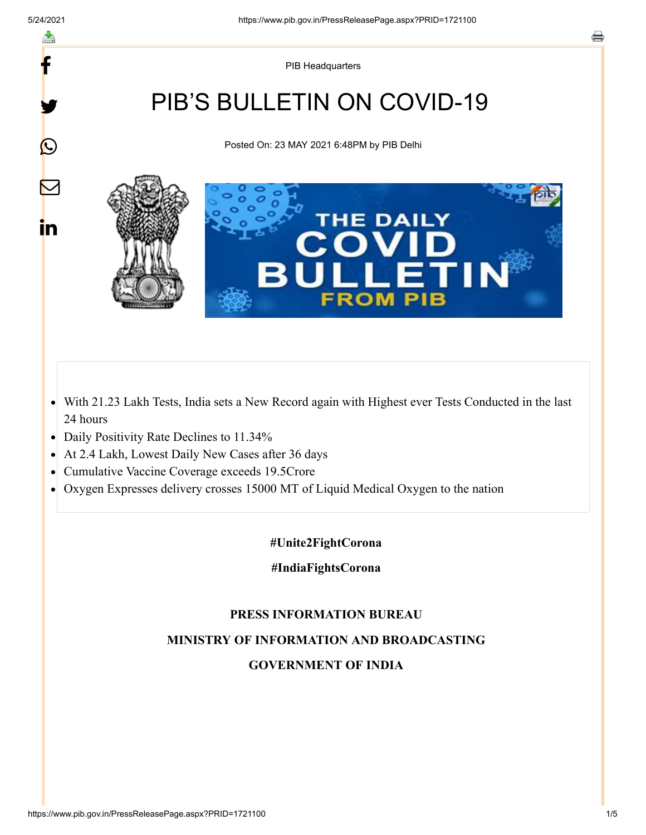y.

 $\bigcirc$ 

 $\color{red} \blacktriangleright$ 

in

PIB Headquarters

# PIB'S BULLETIN ON COVID-19

Posted On: 23 MAY 2021 6:48PM by PIB Delhi



- With 21.23 Lakh Tests, India sets a New Record again with Highest ever Tests Conducted in the last 24 hours
- Daily Positivity Rate Declines to 11.34%
- At 2.4 Lakh, Lowest Daily New Cases after 36 days
- Cumulative Vaccine Coverage exceeds 19.5Crore  $\bullet$
- Oxygen Expresses delivery crosses 15000 MT of Liquid Medical Oxygen to the nation  $\bullet$

#### **#Unite2FightCorona**

**#IndiaFightsCorona**

### **PRESS INFORMATION BUREAU**

### **MINISTRY OF INFORMATION AND BROADCASTING**

### **GOVERNMENT OF INDIA**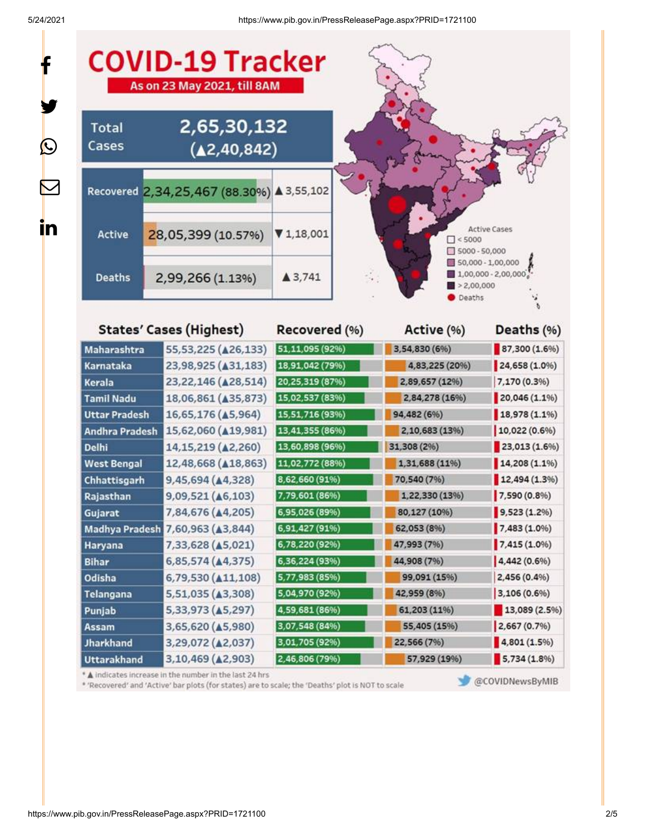$\bigcirc$ 



|                                                 |                 | 4,83,225 (20%)                          | 24,658 (1.0%) |
|-------------------------------------------------|-----------------|-----------------------------------------|---------------|
| 23, 22, 146 ( $\triangle$ 28, 514)              | 20,25,319 (87%) | 2,89,657 (12%)                          | 7,170 (0.3%)  |
| 18,06,861 (435,873)                             | 15,02,537 (83%) | 2,84,278 (16%)                          | 20,046 (1.1%) |
| 16,65,176 (45,964)                              | 15,51,716 (93%) | 94,482 (6%)                             | 18,978 (1.1%) |
| 15,62,060 ( $\triangle$ 19,981)                 | 13,41,355 (86%) | 2,10,683 (13%)                          | 10,022 (0.6%) |
| 14, 15, 219 ( $\triangle$ 2, 260)               | 13,60,898 (96%) | 31,308 (2%)                             | 23,013(1.6%)  |
| 12,48,668 ( $\triangle$ 18,863)                 | 11,02,772 (88%) | 1,31,688 (11%)                          | 14,208 (1.1%) |
| 9,45,694 (44,328)                               | 8,62,660 (91%)  | 70,540 (7%)                             | 12,494(1.3%)  |
| 9,09,521 ( $\triangle$ 6,103)                   | 7,79,601 (86%)  | 1,22,330 (13%)                          | 7,590 (0.8%)  |
| 7,84,676 ( $\triangle$ 4,205)                   | 6,95,026 (89%)  | 80,127 (10%)                            | 9,523(1.2%)   |
| 7,60,963 ( $\triangle$ 3,844)<br>Madhya Pradesh | 6,91,427 (91%)  | 62,053 (8%)                             | 7,483 (1.0%)  |
| 7,33,628 ( $\triangle$ 5,021)                   | 6,78,220 (92%)  | 47,993 (7%)                             | 7,415 (1.0%)  |
| 6,85,574 (44,375)                               | 6,36,224 (93%)  | 44,908 (7%)                             | 4,442 (0.6%)  |
| 6,79,530 ( $\triangle 11,108$ )                 | 5,77,983 (85%)  | 99,091 (15%)                            | 2,456 (0.4%)  |
| 5,51,035 (43,308)                               | 5,04,970 (92%)  | 42,959 (8%)                             | 3,106 (0.6%)  |
| 5,33,973 (45,297)                               | 4,59,681 (86%)  | 61,203 (11%)                            | 13,089 (2.5%) |
| 3,65,620 ( $\triangle$ 5,980)                   | 3,07,548 (84%)  | 55,405 (15%)                            | 2,667(0.7%)   |
| 3,29,072 (42,037)                               | 3,01,705 (92%)  | 22,566 (7%)                             | 4,801(1.5%)   |
| 3,10,469 (42,903)                               | 2,46,806 (79%)  | 57,929 (19%)                            | 5,734(1.8%)   |
|                                                 |                 | 23,98,925 (431,183)<br> 18,91,042 (79%) |               |

\* 'Recovered' and 'Active' bar plots (for states) are to scale; the 'Deaths' plot is NOT to scale

@COVIDNewsByMIB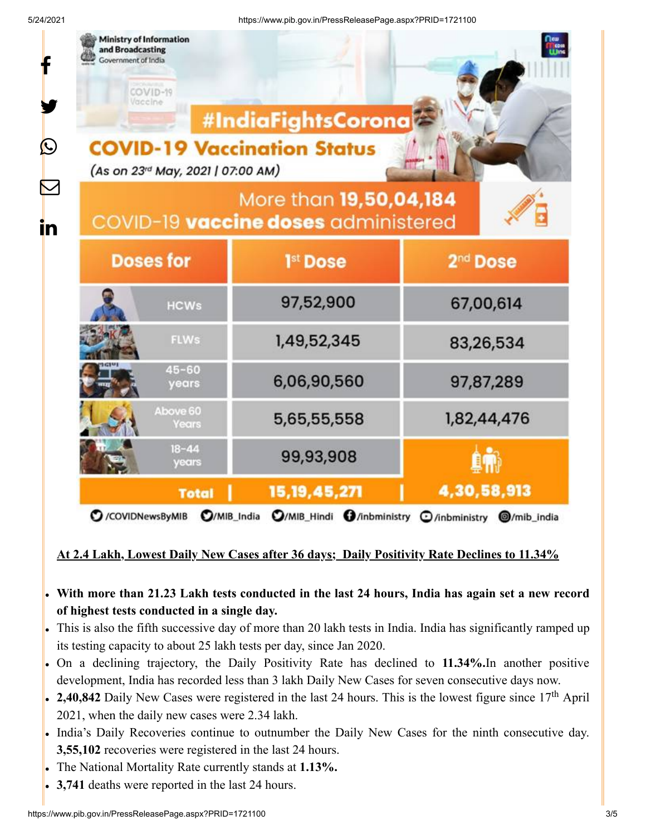| 4/ZUZ 1    |                                                                                                  | https://www.pip.gov.in/PressReleasePage.aspx?PRiD=1721100     |                             |  |  |  |
|------------|--------------------------------------------------------------------------------------------------|---------------------------------------------------------------|-----------------------------|--|--|--|
| f          | <b>Ministry of Information</b><br>and Broadcasting<br>Government of India<br>COVID-19<br>Vaccine | #IndiaFightsCorona                                            | <b>Dew</b><br><b>Elison</b> |  |  |  |
| $\bigcirc$ | (As on 23rd May, 2021   07:00 AM)                                                                | <b>COVID-19 Vaccination Status</b>                            |                             |  |  |  |
| in         |                                                                                                  | More than 19,50,04,184<br>COVID-19 vaccine doses administered |                             |  |  |  |
|            | <b>Doses for</b>                                                                                 | 1 <sup>st</sup> Dose                                          | 2 <sup>nd</sup> Dose        |  |  |  |
|            | <b>HCWs</b>                                                                                      | 97,52,900                                                     | 67,00,614                   |  |  |  |
|            | <b>FLWs</b>                                                                                      | 1,49,52,345                                                   | 83,26,534                   |  |  |  |
|            | $45 - 60$<br>years                                                                               | 6,06,90,560                                                   | 97,87,289                   |  |  |  |
|            | Above 60<br><b>Years</b>                                                                         | 5,65,55,558                                                   | 1,82,44,476                 |  |  |  |
|            | $18 - 44$<br>years                                                                               | 99,93,908                                                     |                             |  |  |  |
|            | <b>Total</b>                                                                                     | 15, 19, 45, 271                                               | 4,30,58,913                 |  |  |  |
|            | O/MIB_Hindi O/inbministry<br>O/MIB_India<br>C /COVIDNewsByMIB<br>O/inbministry @/mib_india       |                                                               |                             |  |  |  |

### **At 2.4 Lakh, Lowest Daily New Cases after 36 days; Daily Positivity Rate Declines to 11.34%**

## **With more than 21.23 Lakh tests conducted in the last 24 hours, India has again set a new record of highest tests conducted in a single day.**

- This is also the fifth successive day of more than 20 lakh tests in India. India has significantly ramped up its testing capacity to about 25 lakh tests per day, since Jan 2020.
- On a declining trajectory, the Daily Positivity Rate has declined to **11.34%.**In another positive development, India has recorded less than 3 lakh Daily New Cases for seven consecutive days now.
- 2,40,842 Daily New Cases were registered in the last 24 hours. This is the lowest figure since 17<sup>th</sup> April 2021, when the daily new cases were 2.34 lakh.
- India's Daily Recoveries continue to outnumber the Daily New Cases for the ninth consecutive day. **3,55,102** recoveries were registered in the last 24 hours.
- The National Mortality Rate currently stands at **1.13%.**
- **3,741** deaths were reported in the last 24 hours.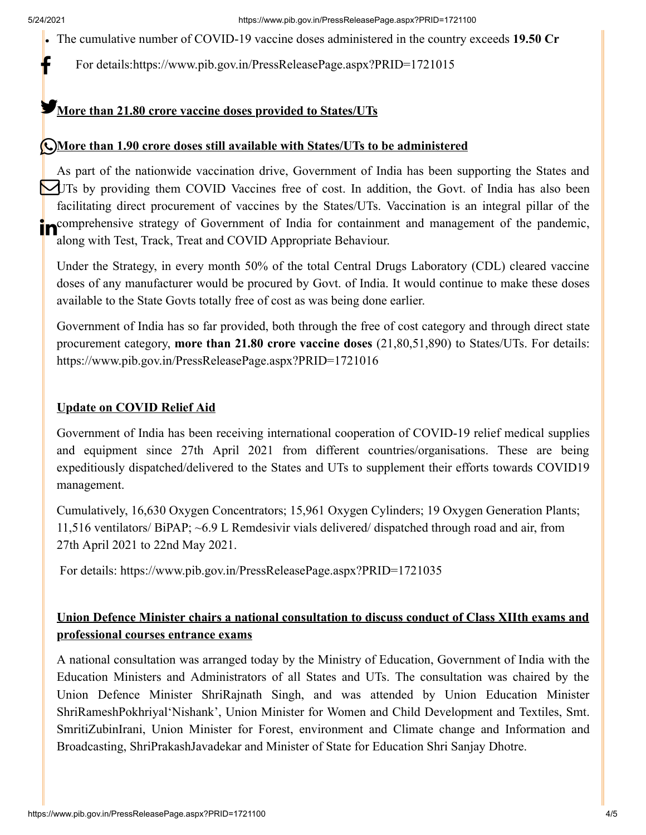The cumulative number of COVID-19 vaccine doses administered in the country exceeds **19.50 Cr**

For details[:https://www.pib.gov.in/PressReleasePage.aspx?PRID=1721015](https://www.pib.gov.in/PressReleasePage.aspx?PRID=1721015)

# **More than 21.80 crore vaccine doses provided to States/UTs**

# **More than 1.90 crore doses still available with States/UTs to be administered**

As part of the nationwide vaccination drive, Government of India has been supporting the States and UTs by providing them COVID Vaccines free of cost. In addition, the Govt. of India has also been facilitating direct procurement of vaccines by the States/UTs. Vaccination is an integral pillar of the **comprehensive strategy of Government of India for containment and management of the pandemic,** along with Test, Track, Treat and COVID Appropriate Behaviour.

Under the Strategy, in every month 50% of the total Central Drugs Laboratory (CDL) cleared vaccine doses of any manufacturer would be procured by Govt. of India. It would continue to make these doses available to the State Govts totally free of cost as was being done earlier.

Government of India has so far provided, both through the free of cost category and through direct state procurement category, **more than 21.80 crore vaccine doses** (21,80,51,890) to States/UTs. For details: <https://www.pib.gov.in/PressReleasePage.aspx?PRID=1721016>

### **Update on COVID Relief Aid**

Government of India has been receiving international cooperation of COVID-19 relief medical supplies and equipment since 27th April 2021 from different countries/organisations. These are being expeditiously dispatched/delivered to the States and UTs to supplement their efforts towards COVID19 management.

Cumulatively, 16,630 Oxygen Concentrators; 15,961 Oxygen Cylinders; 19 Oxygen Generation Plants; 11,516 ventilators/ BiPAP; ~6.9 L Remdesivir vials delivered/ dispatched through road and air, from 27th April 2021 to 22nd May 2021.

For details:<https://www.pib.gov.in/PressReleasePage.aspx?PRID=1721035>

## **Union Defence Minister chairs a national consultation to discuss conduct of Class XIIth exams and professional courses entrance exams**

A national consultation was arranged today by the Ministry of Education, Government of India with the Education Ministers and Administrators of all States and UTs. The consultation was chaired by the Union Defence Minister ShriRajnath Singh, and was attended by Union Education Minister ShriRameshPokhriyal'Nishank', Union Minister for Women and Child Development and Textiles, Smt. SmritiZubinIrani, Union Minister for Forest, environment and Climate change and Information and Broadcasting, ShriPrakashJavadekar and Minister of State for Education Shri Sanjay Dhotre.